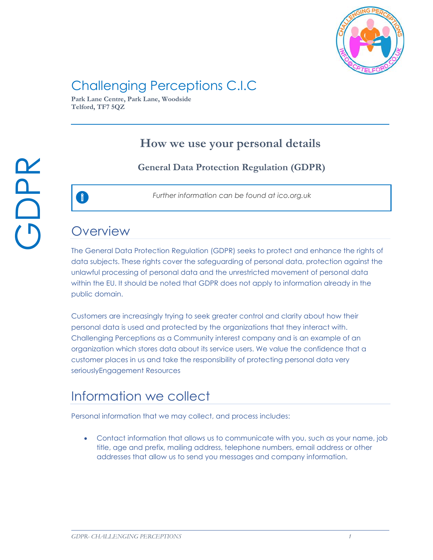

# Challenging Perceptions C.I.C

**Park Lane Centre, Park Lane, Woodside Telford, TF7 5QZ**

### **How we use your personal details**

### **General Data Protection Regulation (GDPR)**



*Further information can be found at ico.org.uk*

### **Overview**

O

The General Data Protection Regulation (GDPR) seeks to protect and enhance the rights of data subjects. These rights cover the safeguarding of personal data, protection against the unlawful processing of personal data and the unrestricted movement of personal data within the EU. It should be noted that GDPR does not apply to information already in the public domain.

Customers are increasingly trying to seek greater control and clarity about how their personal data is used and protected by the organizations that they interact with. Challenging Perceptions as a Community interest company and is an example of an organization which stores data about its service users. We value the confidence that a customer places in us and take the responsibility of protecting personal data very seriouslyEngagement Resources

## Information we collect

Personal information that we may collect, and process includes:

• Contact information that allows us to communicate with you, such as your name, job title, age and prefix, mailing address, telephone numbers, email address or other addresses that allow us to send you messages and company information.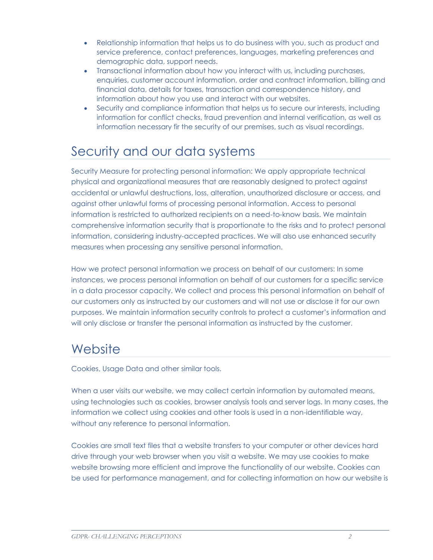- Relationship information that helps us to do business with you, such as product and service preference, contact preferences, languages, marketing preferences and demographic data, support needs.
- Transactional information about how you interact with us, including purchases, enquiries, customer account information, order and contract information, billing and financial data, details for taxes, transaction and correspondence history, and information about how you use and interact with our websites.
- Security and compliance information that helps us to secure our interests, including information for conflict checks, fraud prevention and internal verification, as well as information necessary fir the security of our premises, such as visual recordings.

# Security and our data systems

Security Measure for protecting personal information: We apply appropriate technical physical and organizational measures that are reasonably designed to protect against accidental or unlawful destructions, loss, alteration, unauthorized disclosure or access, and against other unlawful forms of processing personal information. Access to personal information is restricted to authorized recipients on a need-to-know basis. We maintain comprehensive information security that is proportionate to the risks and to protect personal information, considering industry-accepted practices. We will also use enhanced security measures when processing any sensitive personal information.

How we protect personal information we process on behalf of our customers: In some instances, we process personal information on behalf of our customers for a specific service in a data processor capacity. We collect and process this personal information on behalf of our customers only as instructed by our customers and will not use or disclose it for our own purposes. We maintain information security controls to protect a customer's information and will only disclose or transfer the personal information as instructed by the customer.

## **Website**

Cookies, Usage Data and other similar tools.

When a user visits our website, we may collect certain information by automated means, using technologies such as cookies, browser analysis tools and server logs. In many cases, the information we collect using cookies and other tools is used in a non-identifiable way, without any reference to personal information.

Cookies are small text files that a website transfers to your computer or other devices hard drive through your web browser when you visit a website. We may use cookies to make website browsing more efficient and improve the functionality of our website. Cookies can be used for performance management, and for collecting information on how our website is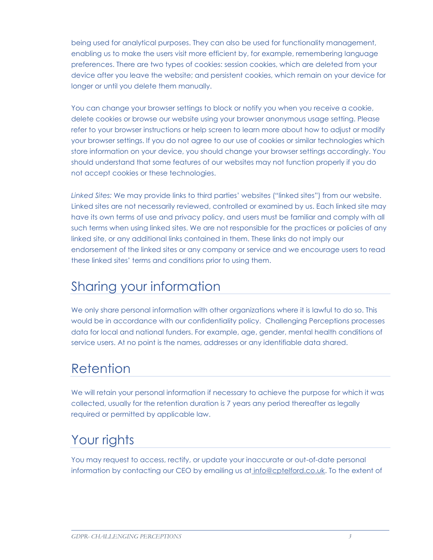being used for analytical purposes. They can also be used for functionality management, enabling us to make the users visit more efficient by, for example, remembering language preferences. There are two types of cookies: session cookies, which are deleted from your device after you leave the website; and persistent cookies, which remain on your device for longer or until you delete them manually.

You can change your browser settings to block or notify you when you receive a cookie, delete cookies or browse our website using your browser anonymous usage setting. Please refer to your browser instructions or help screen to learn more about how to adjust or modify your browser settings. If you do not agree to our use of cookies or similar technologies which store information on your device, you should change your browser settings accordingly. You should understand that some features of our websites may not function properly if you do not accept cookies or these technologies.

*Linked Sites:* We may provide links to third parties' websites ("linked sites") from our website. Linked sites are not necessarily reviewed, controlled or examined by us. Each linked site may have its own terms of use and privacy policy, and users must be familiar and comply with all such terms when using linked sites. We are not responsible for the practices or policies of any linked site, or any additional links contained in them. These links do not imply our endorsement of the linked sites or any company or service and we encourage users to read these linked sites' terms and conditions prior to using them.

## Sharing your information

We only share personal information with other organizations where it is lawful to do so. This would be in accordance with our confidentiality policy. Challenging Perceptions processes data for local and national funders. For example, age, gender, mental health conditions of service users. At no point is the names, addresses or any identifiable data shared.

## Retention

We will retain your personal information if necessary to achieve the purpose for which it was collected, usually for the retention duration is 7 years any period thereafter as legally required or permitted by applicable law.

# Your rights

You may request to access, rectify, or update your inaccurate or out-of-date personal information by contacting our CEO by emailing us at info@cptelford.co.uk. To the extent of